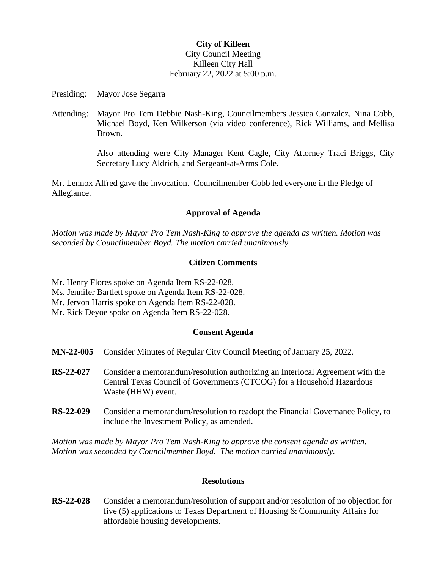# **City of Killeen** City Council Meeting Killeen City Hall February 22, 2022 at 5:00 p.m.

Presiding: Mayor Jose Segarra

Attending: Mayor Pro Tem Debbie Nash-King, Councilmembers Jessica Gonzalez, Nina Cobb, Michael Boyd, Ken Wilkerson (via video conference), Rick Williams, and Mellisa Brown.

> Also attending were City Manager Kent Cagle, City Attorney Traci Briggs, City Secretary Lucy Aldrich, and Sergeant-at-Arms Cole.

Mr. Lennox Alfred gave the invocation. Councilmember Cobb led everyone in the Pledge of Allegiance.

# **Approval of Agenda**

*Motion was made by Mayor Pro Tem Nash-King to approve the agenda as written. Motion was seconded by Councilmember Boyd. The motion carried unanimously.*

# **Citizen Comments**

- Mr. Henry Flores spoke on Agenda Item RS-22-028.
- Ms. Jennifer Bartlett spoke on Agenda Item RS-22-028.
- Mr. Jervon Harris spoke on Agenda Item RS-22-028.
- Mr. Rick Deyoe spoke on Agenda Item RS-22-028.

## **Consent Agenda**

- **MN-22-005** Consider Minutes of Regular City Council Meeting of January 25, 2022.
- **RS-22-027** Consider a memorandum/resolution authorizing an Interlocal Agreement with the Central Texas Council of Governments (CTCOG) for a Household Hazardous Waste (HHW) event.
- **RS-22-029** Consider a memorandum/resolution to readopt the Financial Governance Policy, to include the Investment Policy, as amended.

*Motion was made by Mayor Pro Tem Nash-King to approve the consent agenda as written. Motion was seconded by Councilmember Boyd. The motion carried unanimously.*

## **Resolutions**

**RS-22-028** Consider a memorandum/resolution of support and/or resolution of no objection for five (5) applications to Texas Department of Housing & Community Affairs for affordable housing developments.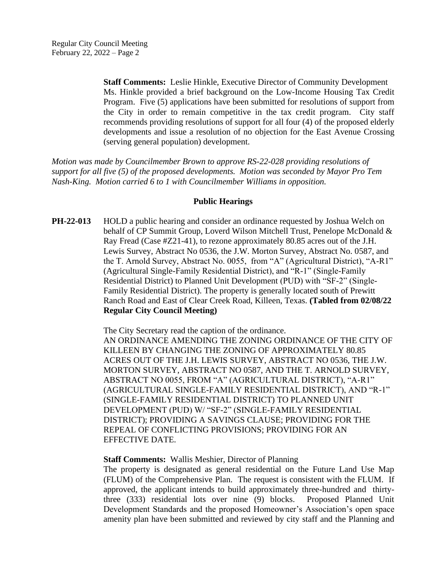**Staff Comments:** Leslie Hinkle, Executive Director of Community Development Ms. Hinkle provided a brief background on the Low-Income Housing Tax Credit Program. Five (5) applications have been submitted for resolutions of support from the City in order to remain competitive in the tax credit program. City staff recommends providing resolutions of support for all four (4) of the proposed elderly developments and issue a resolution of no objection for the East Avenue Crossing (serving general population) development.

*Motion was made by Councilmember Brown to approve RS-22-028 providing resolutions of support for all five (5) of the proposed developments. Motion was seconded by Mayor Pro Tem Nash-King. Motion carried 6 to 1 with Councilmember Williams in opposition.*

#### **Public Hearings**

**PH-22-013** HOLD a public hearing and consider an ordinance requested by Joshua Welch on behalf of CP Summit Group, Loverd Wilson Mitchell Trust, Penelope McDonald & Ray Fread (Case #Z21-41), to rezone approximately 80.85 acres out of the J.H. Lewis Survey, Abstract No 0536, the J.W. Morton Survey, Abstract No. 0587, and the T. Arnold Survey, Abstract No. 0055, from "A" (Agricultural District), "A-R1" (Agricultural Single-Family Residential District), and "R-1" (Single-Family Residential District) to Planned Unit Development (PUD) with "SF-2" (Single-Family Residential District). The property is generally located south of Prewitt Ranch Road and East of Clear Creek Road, Killeen, Texas. **(Tabled from 02/08/22 Regular City Council Meeting)**

> The City Secretary read the caption of the ordinance. AN ORDINANCE AMENDING THE ZONING ORDINANCE OF THE CITY OF KILLEEN BY CHANGING THE ZONING OF APPROXIMATELY 80.85 ACRES OUT OF THE J.H. LEWIS SURVEY, ABSTRACT NO 0536, THE J.W. MORTON SURVEY, ABSTRACT NO 0587, AND THE T. ARNOLD SURVEY, ABSTRACT NO 0055, FROM "A" (AGRICULTURAL DISTRICT), "A-R1" (AGRICULTURAL SINGLE-FAMILY RESIDENTIAL DISTRICT), AND "R-1" (SINGLE-FAMILY RESIDENTIAL DISTRICT) TO PLANNED UNIT DEVELOPMENT (PUD) W/ "SF-2" (SINGLE-FAMILY RESIDENTIAL DISTRICT); PROVIDING A SAVINGS CLAUSE; PROVIDING FOR THE REPEAL OF CONFLICTING PROVISIONS; PROVIDING FOR AN EFFECTIVE DATE.

#### **Staff Comments:** Wallis Meshier, Director of Planning

The property is designated as general residential on the Future Land Use Map (FLUM) of the Comprehensive Plan. The request is consistent with the FLUM. If approved, the applicant intends to build approximately three-hundred and thirtythree (333) residential lots over nine (9) blocks. Proposed Planned Unit Development Standards and the proposed Homeowner's Association's open space amenity plan have been submitted and reviewed by city staff and the Planning and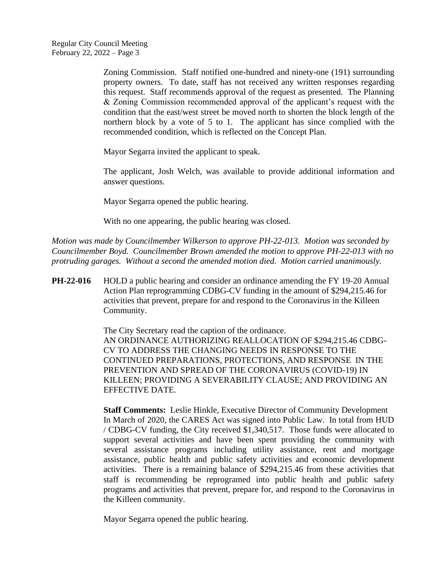Zoning Commission. Staff notified one-hundred and ninety-one (191) surrounding property owners. To date, staff has not received any written responses regarding this request. Staff recommends approval of the request as presented. The Planning & Zoning Commission recommended approval of the applicant's request with the condition that the east/west street be moved north to shorten the block length of the northern block by a vote of 5 to 1. The applicant has since complied with the recommended condition, which is reflected on the Concept Plan.

Mayor Segarra invited the applicant to speak.

The applicant, Josh Welch, was available to provide additional information and answer questions.

Mayor Segarra opened the public hearing.

With no one appearing, the public hearing was closed.

*Motion was made by Councilmember Wilkerson to approve PH-22-013. Motion was seconded by Councilmember Boyd. Councilmember Brown amended the motion to approve PH-22-013 with no protruding garages. Without a second the amended motion died. Motion carried unanimously.*

**PH-22-016** HOLD a public hearing and consider an ordinance amending the FY 19-20 Annual Action Plan reprogramming CDBG-CV funding in the amount of \$294,215.46 for activities that prevent, prepare for and respond to the Coronavirus in the Killeen Community.

> The City Secretary read the caption of the ordinance. AN ORDINANCE AUTHORIZING REALLOCATION OF \$294,215.46 CDBG-CV TO ADDRESS THE CHANGING NEEDS IN RESPONSE TO THE CONTINUED PREPARATIONS, PROTECTIONS, AND RESPONSE IN THE PREVENTION AND SPREAD OF THE CORONAVIRUS (COVID-19) IN KILLEEN; PROVIDING A SEVERABILITY CLAUSE; AND PROVIDING AN EFFECTIVE DATE.

**Staff Comments:** Leslie Hinkle, Executive Director of Community Development In March of 2020, the CARES Act was signed into Public Law. In total from HUD / CDBG-CV funding, the City received \$1,340,517. Those funds were allocated to support several activities and have been spent providing the community with several assistance programs including utility assistance, rent and mortgage assistance, public health and public safety activities and economic development activities. There is a remaining balance of \$294,215.46 from these activities that staff is recommending be reprogramed into public health and public safety programs and activities that prevent, prepare for, and respond to the Coronavirus in the Killeen community.

Mayor Segarra opened the public hearing.